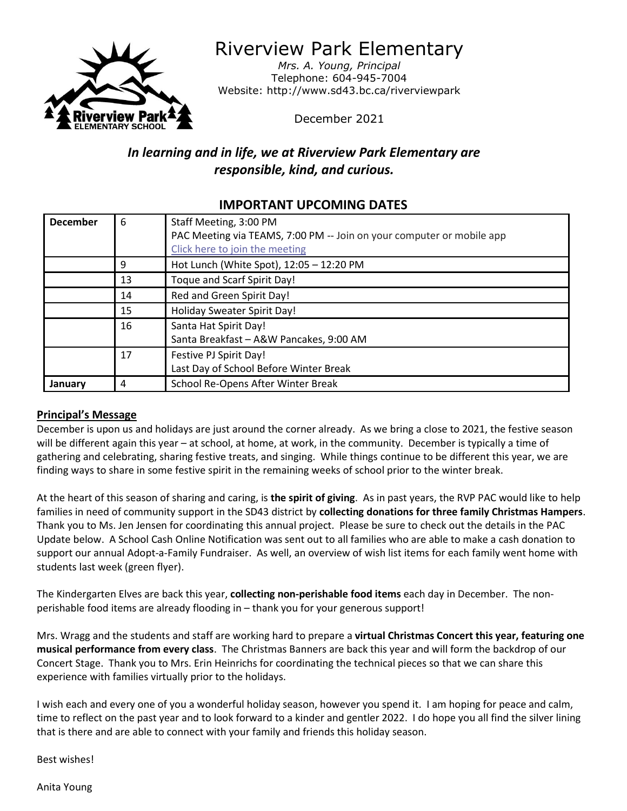

Riverview Park Elementary

*Mrs. A. Young, Principal* Telephone: 604-945-7004 Website: http://www.sd43.bc.ca/riverviewpark

December 2021

# *In learning and in life, we at Riverview Park Elementary are responsible, kind, and curious.*

# **IMPORTANT UPCOMING DATES**

| <b>December</b> | 6  | Staff Meeting, 3:00 PM                                                |
|-----------------|----|-----------------------------------------------------------------------|
|                 |    | PAC Meeting via TEAMS, 7:00 PM -- Join on your computer or mobile app |
|                 |    | Click here to join the meeting                                        |
|                 | 9  | Hot Lunch (White Spot), 12:05 - 12:20 PM                              |
|                 | 13 | Toque and Scarf Spirit Day!                                           |
|                 | 14 | Red and Green Spirit Day!                                             |
|                 | 15 | Holiday Sweater Spirit Day!                                           |
|                 | 16 | Santa Hat Spirit Day!                                                 |
|                 |    | Santa Breakfast - A&W Pancakes, 9:00 AM                               |
|                 | 17 | Festive PJ Spirit Day!                                                |
|                 |    | Last Day of School Before Winter Break                                |
| January         | 4  | School Re-Opens After Winter Break                                    |

#### **Principal's Message**

December is upon us and holidays are just around the corner already. As we bring a close to 2021, the festive season will be different again this year – at school, at home, at work, in the community. December is typically a time of gathering and celebrating, sharing festive treats, and singing. While things continue to be different this year, we are finding ways to share in some festive spirit in the remaining weeks of school prior to the winter break.

At the heart of this season of sharing and caring, is **the spirit of giving**. As in past years, the RVP PAC would like to help families in need of community support in the SD43 district by **collecting donations for three family Christmas Hampers**. Thank you to Ms. Jen Jensen for coordinating this annual project. Please be sure to check out the details in the PAC Update below. A School Cash Online Notification was sent out to all families who are able to make a cash donation to support our annual Adopt-a-Family Fundraiser. As well, an overview of wish list items for each family went home with students last week (green flyer).

The Kindergarten Elves are back this year, **collecting non-perishable food items** each day in December. The nonperishable food items are already flooding in – thank you for your generous support!

Mrs. Wragg and the students and staff are working hard to prepare a **virtual Christmas Concert this year, featuring one musical performance from every class**. The Christmas Banners are back this year and will form the backdrop of our Concert Stage. Thank you to Mrs. Erin Heinrichs for coordinating the technical pieces so that we can share this experience with families virtually prior to the holidays.

I wish each and every one of you a wonderful holiday season, however you spend it. I am hoping for peace and calm, time to reflect on the past year and to look forward to a kinder and gentler 2022. I do hope you all find the silver lining that is there and are able to connect with your family and friends this holiday season.

Best wishes!

Anita Young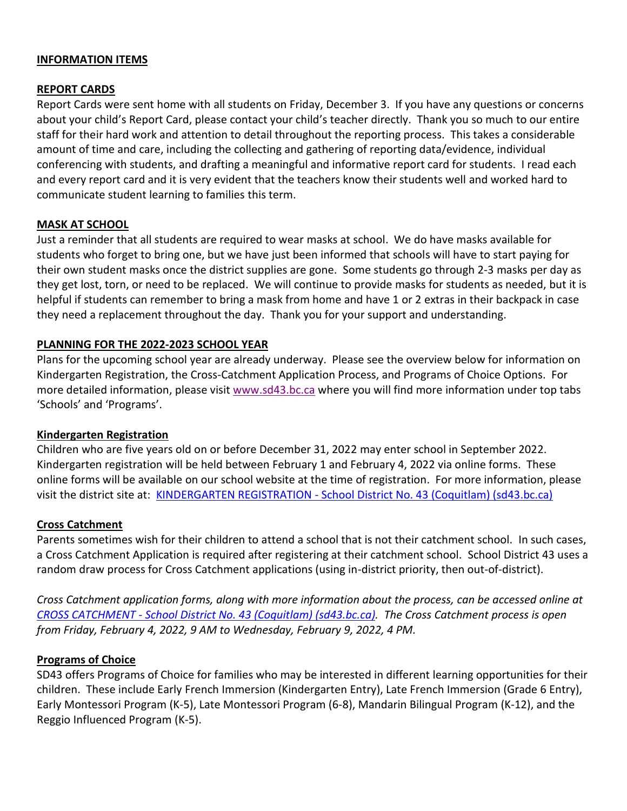#### **INFORMATION ITEMS**

#### **REPORT CARDS**

Report Cards were sent home with all students on Friday, December 3. If you have any questions or concerns about your child's Report Card, please contact your child's teacher directly. Thank you so much to our entire staff for their hard work and attention to detail throughout the reporting process. This takes a considerable amount of time and care, including the collecting and gathering of reporting data/evidence, individual conferencing with students, and drafting a meaningful and informative report card for students. I read each and every report card and it is very evident that the teachers know their students well and worked hard to communicate student learning to families this term.

#### **MASK AT SCHOOL**

Just a reminder that all students are required to wear masks at school. We do have masks available for students who forget to bring one, but we have just been informed that schools will have to start paying for their own student masks once the district supplies are gone. Some students go through 2-3 masks per day as they get lost, torn, or need to be replaced. We will continue to provide masks for students as needed, but it is helpful if students can remember to bring a mask from home and have 1 or 2 extras in their backpack in case they need a replacement throughout the day. Thank you for your support and understanding.

#### **PLANNING FOR THE 2022-2023 SCHOOL YEAR**

Plans for the upcoming school year are already underway. Please see the overview below for information on Kindergarten Registration, the Cross-Catchment Application Process, and Programs of Choice Options. For more detailed information, please visit [www.sd43.bc.ca](http://www.sd43.bc.ca/) where you will find more information under top tabs 'Schools' and 'Programs'.

#### **Kindergarten Registration**

Children who are five years old on or before December 31, 2022 may enter school in September 2022. Kindergarten registration will be held between February 1 and February 4, 2022 via online forms. These online forms will be available on our school website at the time of registration. For more information, please visit the district site at: KINDERGARTEN REGISTRATION - [School District No. 43 \(Coquitlam\) \(sd43.bc.ca\)](http://www.sd43.bc.ca/Schools/Pages/KindergartenRegistration.aspx#/=)

#### **Cross Catchment**

Parents sometimes wish for their children to attend a school that is not their catchment school. In such cases, a Cross Catchment Application is required after registering at their catchment school. School District 43 uses a random draw process for Cross Catchment applications (using in-district priority, then out-of-district).

*Cross Catchment application forms, along with more information about the process, can be accessed online at CROSS CATCHMENT - [School District No. 43 \(Coquitlam\) \(sd43.bc.ca\).](http://www.sd43.bc.ca/Schools/Pages/CrossCatchment.aspx#/=) The Cross Catchment process is open from Friday, February 4, 2022, 9 AM to Wednesday, February 9, 2022, 4 PM.*

#### **Programs of Choice**

SD43 offers Programs of Choice for families who may be interested in different learning opportunities for their children. These include Early French Immersion (Kindergarten Entry), Late French Immersion (Grade 6 Entry), Early Montessori Program (K-5), Late Montessori Program (6-8), Mandarin Bilingual Program (K-12), and the Reggio Influenced Program (K-5).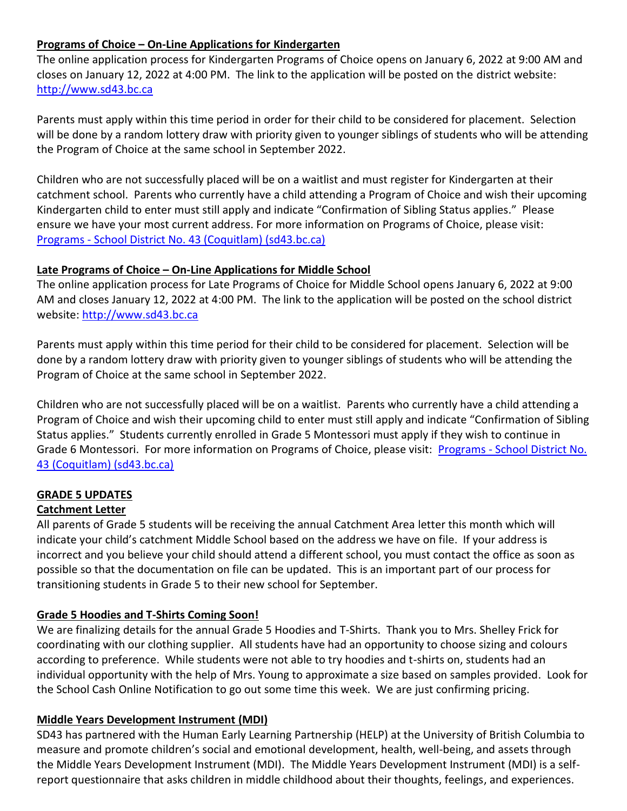## **Programs of Choice – On-Line Applications for Kindergarten**

The online application process for Kindergarten Programs of Choice opens on January 6, 2022 at 9:00 AM and closes on January 12, 2022 at 4:00 PM. The link to the application will be posted on the district website: [http://www.sd43.bc.ca](http://www.sd43.bc.ca/)

Parents must apply within this time period in order for their child to be considered for placement. Selection will be done by a random lottery draw with priority given to younger siblings of students who will be attending the Program of Choice at the same school in September 2022.

Children who are not successfully placed will be on a waitlist and must register for Kindergarten at their catchment school. Parents who currently have a child attending a Program of Choice and wish their upcoming Kindergarten child to enter must still apply and indicate "Confirmation of Sibling Status applies." Please ensure we have your most current address. For more information on Programs of Choice, please visit: Programs - [School District No. 43 \(Coquitlam\) \(sd43.bc.ca\)](http://www.sd43.bc.ca/Programs/Pages/default.aspx#/=)

### **Late Programs of Choice – On-Line Applications for Middle School**

The online application process for Late Programs of Choice for Middle School opens January 6, 2022 at 9:00 AM and closes January 12, 2022 at 4:00 PM. The link to the application will be posted on the school district website: [http://www.sd43.bc.ca](http://www.sd43.bc.ca/)

Parents must apply within this time period for their child to be considered for placement. Selection will be done by a random lottery draw with priority given to younger siblings of students who will be attending the Program of Choice at the same school in September 2022.

Children who are not successfully placed will be on a waitlist. Parents who currently have a child attending a Program of Choice and wish their upcoming child to enter must still apply and indicate "Confirmation of Sibling Status applies." Students currently enrolled in Grade 5 Montessori must apply if they wish to continue in Grade 6 Montessori. For more information on Programs of Choice, please visit: Programs - School District No. [43 \(Coquitlam\) \(sd43.bc.ca\)](http://www.sd43.bc.ca/Programs/Pages/default.aspx#/=)

### **GRADE 5 UPDATES**

### **Catchment Letter**

All parents of Grade 5 students will be receiving the annual Catchment Area letter this month which will indicate your child's catchment Middle School based on the address we have on file. If your address is incorrect and you believe your child should attend a different school, you must contact the office as soon as possible so that the documentation on file can be updated. This is an important part of our process for transitioning students in Grade 5 to their new school for September.

### **Grade 5 Hoodies and T-Shirts Coming Soon!**

We are finalizing details for the annual Grade 5 Hoodies and T-Shirts. Thank you to Mrs. Shelley Frick for coordinating with our clothing supplier. All students have had an opportunity to choose sizing and colours according to preference. While students were not able to try hoodies and t-shirts on, students had an individual opportunity with the help of Mrs. Young to approximate a size based on samples provided. Look for the School Cash Online Notification to go out some time this week. We are just confirming pricing.

### **Middle Years Development Instrument (MDI)**

SD43 has partnered with the Human Early Learning Partnership (HELP) at the University of British Columbia to measure and promote children's social and emotional development, health, well-being, and assets through the Middle Years Development Instrument (MDI). The Middle Years Development Instrument (MDI) is a selfreport questionnaire that asks children in middle childhood about their thoughts, feelings, and experiences.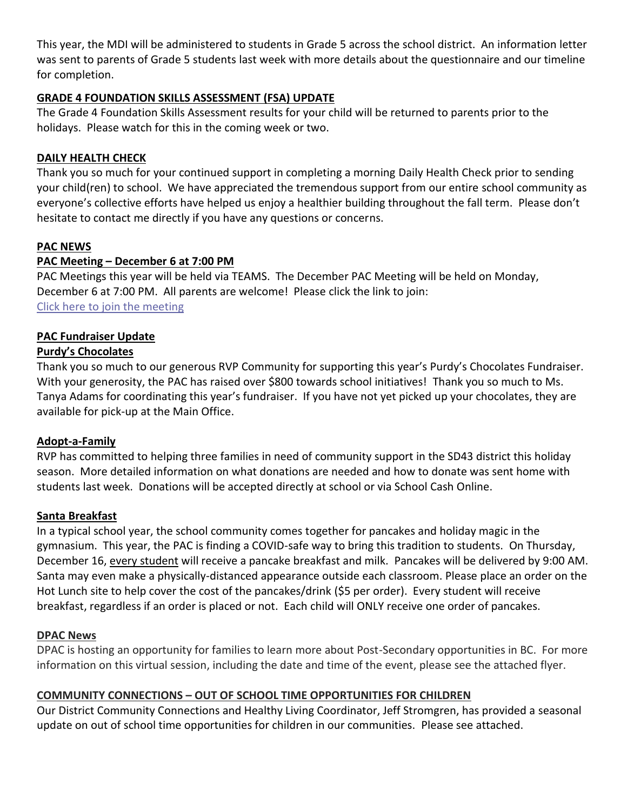This year, the MDI will be administered to students in Grade 5 across the school district. An information letter was sent to parents of Grade 5 students last week with more details about the questionnaire and our timeline for completion.

### **GRADE 4 FOUNDATION SKILLS ASSESSMENT (FSA) UPDATE**

The Grade 4 Foundation Skills Assessment results for your child will be returned to parents prior to the holidays. Please watch for this in the coming week or two.

## **DAILY HEALTH CHECK**

Thank you so much for your continued support in completing a morning Daily Health Check prior to sending your child(ren) to school. We have appreciated the tremendous support from our entire school community as everyone's collective efforts have helped us enjoy a healthier building throughout the fall term. Please don't hesitate to contact me directly if you have any questions or concerns.

## **PAC NEWS**

## **PAC Meeting – December 6 at 7:00 PM**

PAC Meetings this year will be held via TEAMS. The December PAC Meeting will be held on Monday, December 6 at 7:00 PM. All parents are welcome! Please click the link to join: [Click here to join the meeting](https://teams.microsoft.com/l/meetup-join/19%3ameeting_YTBiOWQ1NDItMTMyNS00NTVhLThlZjQtOTcxZjZlYTFmNjA4%40thread.v2/0?context=%7b%22Tid%22%3a%22d9658cef-0292-4252-9925-6442de24a44b%22%2c%22Oid%22%3a%221b590d38-a337-41db-b865-c71f6b641bf3%22%7d)

### **PAC Fundraiser Update**

## **Purdy's Chocolates**

Thank you so much to our generous RVP Community for supporting this year's Purdy's Chocolates Fundraiser. With your generosity, the PAC has raised over \$800 towards school initiatives! Thank you so much to Ms. Tanya Adams for coordinating this year's fundraiser. If you have not yet picked up your chocolates, they are available for pick-up at the Main Office.

### **Adopt-a-Family**

RVP has committed to helping three families in need of community support in the SD43 district this holiday season. More detailed information on what donations are needed and how to donate was sent home with students last week. Donations will be accepted directly at school or via School Cash Online.

### **Santa Breakfast**

In a typical school year, the school community comes together for pancakes and holiday magic in the gymnasium. This year, the PAC is finding a COVID-safe way to bring this tradition to students. On Thursday, December 16, every student will receive a pancake breakfast and milk. Pancakes will be delivered by 9:00 AM. Santa may even make a physically-distanced appearance outside each classroom. Please place an order on the Hot Lunch site to help cover the cost of the pancakes/drink (\$5 per order). Every student will receive breakfast, regardless if an order is placed or not. Each child will ONLY receive one order of pancakes.

### **DPAC News**

DPAC is hosting an opportunity for families to learn more about Post-Secondary opportunities in BC. For more information on this virtual session, including the date and time of the event, please see the attached flyer.

## **COMMUNITY CONNECTIONS – OUT OF SCHOOL TIME OPPORTUNITIES FOR CHILDREN**

Our District Community Connections and Healthy Living Coordinator, Jeff Stromgren, has provided a seasonal update on out of school time opportunities for children in our communities. Please see attached.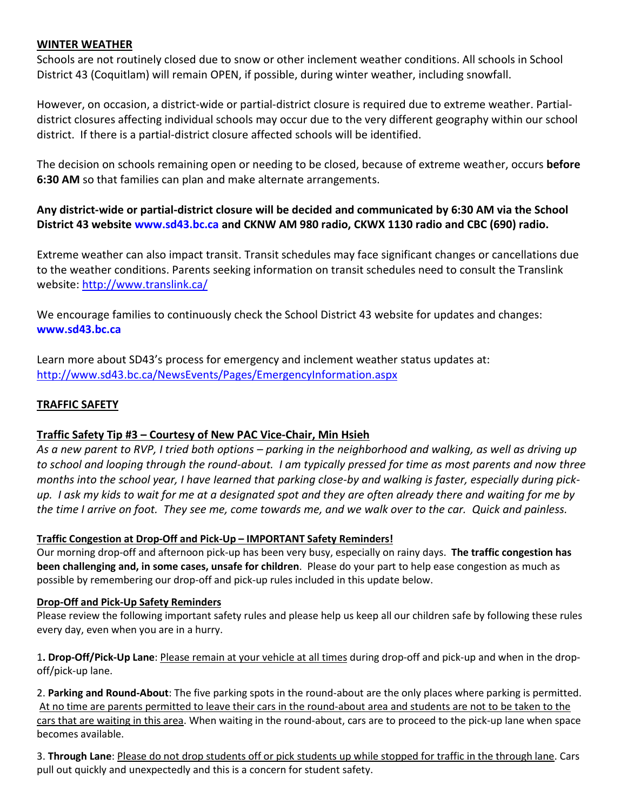#### **WINTER WEATHER**

Schools are not routinely closed due to snow or other inclement weather conditions. All schools in School District 43 (Coquitlam) will remain OPEN, if possible, during winter weather, including snowfall.

However, on occasion, a district-wide or partial-district closure is required due to extreme weather. Partialdistrict closures affecting individual schools may occur due to the very different geography within our school district. If there is a partial-district closure affected schools will be identified.

The decision on schools remaining open or needing to be closed, because of extreme weather, occurs **before 6:30 AM** so that families can plan and make alternate arrangements.

## **Any district-wide or partial-district closure will be decided and communicated by 6:30 AM via the School District 43 website www.sd43.bc.ca and CKNW AM 980 radio, CKWX 1130 radio and CBC (690) radio.**

Extreme weather can also impact transit. Transit schedules may face significant changes or cancellations due to the weather conditions. Parents seeking information on transit schedules need to consult the Translink website:<http://www.translink.ca/>

We encourage families to continuously check the School District 43 website for updates and changes: **www.sd43.bc.ca**

Learn more about SD43's process for emergency and inclement weather status updates at: <http://www.sd43.bc.ca/NewsEvents/Pages/EmergencyInformation.aspx>

## **TRAFFIC SAFETY**

### **Traffic Safety Tip #3 – Courtesy of New PAC Vice-Chair, Min Hsieh**

*As a new parent to RVP, I tried both options – parking in the neighborhood and walking, as well as driving up to school and looping through the round-about. I am typically pressed for time as most parents and now three months into the school year, I have Iearned that parking close-by and walking is faster, especially during pickup. I ask my kids to wait for me at a designated spot and they are often already there and waiting for me by the time I arrive on foot. They see me, come towards me, and we walk over to the car. Quick and painless.*

### **Traffic Congestion at Drop-Off and Pick-Up – IMPORTANT Safety Reminders!**

Our morning drop-off and afternoon pick-up has been very busy, especially on rainy days. **The traffic congestion has been challenging and, in some cases, unsafe for children**. Please do your part to help ease congestion as much as possible by remembering our drop-off and pick-up rules included in this update below.

#### **Drop-Off and Pick-Up Safety Reminders**

Please review the following important safety rules and please help us keep all our children safe by following these rules every day, even when you are in a hurry.

1**. Drop-Off/Pick-Up Lane**: Please remain at your vehicle at all times during drop-off and pick-up and when in the dropoff/pick-up lane.

2. **Parking and Round-About**: The five parking spots in the round-about are the only places where parking is permitted. At no time are parents permitted to leave their cars in the round-about area and students are not to be taken to the cars that are waiting in this area. When waiting in the round-about, cars are to proceed to the pick-up lane when space becomes available.

3. **Through Lane**: Please do not drop students off or pick students up while stopped for traffic in the through lane. Cars pull out quickly and unexpectedly and this is a concern for student safety.